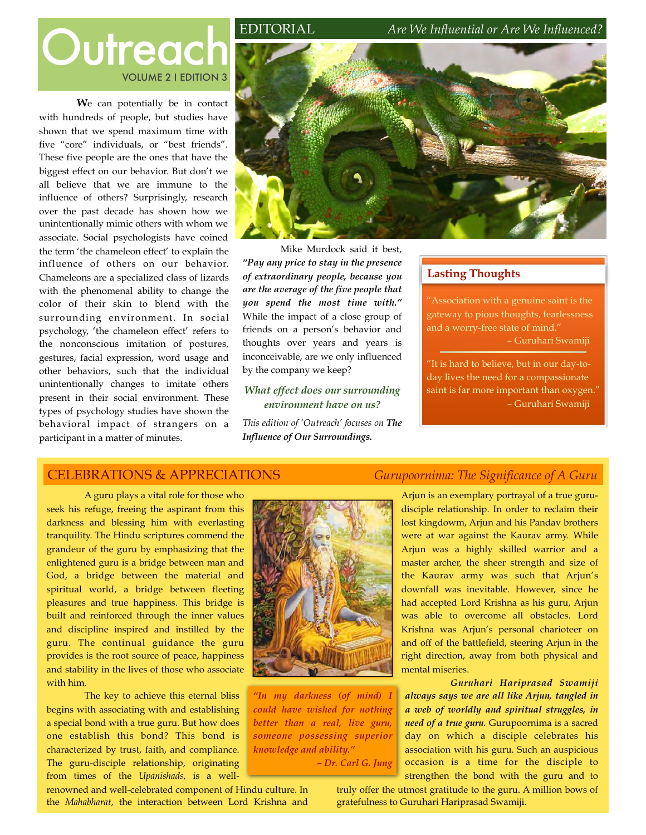# VOLUME 2 I EDITION 3

**W**e can potentially be in contact with hundreds of people, but studies have shown that we spend maximum time with five "core" individuals, or "best friends". These five people are the ones that have the biggest effect on our behavior. But don't we all believe that we are immune to the influence of others? Surprisingly, research over the past decade has shown how we unintentionally mimic others with whom we associate. Social psychologists have coined the term 'the chameleon effect' to explain the influence of others on our behavior. Chameleons are a specialized class of lizards with the phenomenal ability to change the color of their skin to blend with the surrounding environment. In social psychology, 'the chameleon effect' refers to the nonconscious imitation of postures, gestures, facial expression, word usage and other behaviors, such that the individual unintentionally changes to imitate others present in their social environment. These types of psychology studies have shown the behavioral impact of strangers on a participant in a matter of minutes.



Mike Murdock said it best, *"Pay any price to stay in the presence of extraordinary people, because you are the average of the five people that you spend the most time with."* While the impact of a close group of friends on a person's behavior and thoughts over years and years is inconceivable, are we only influenced by the company we keep?

#### *What effect does our surrounding environment have on us?*

*This edition of 'Outreach' focuses on The Influence of Our Surroundings.*

## **Lasting Thoughts**

"Association with a genuine saint is the gateway to pious thoughts, fearlessness and a worry-free state of mind." – Guruhari Swamiji

"It is hard to believe, but in our day-today lives the need for a compassionate saint is far more important than oxygen." – Guruhari Swamiji

# CELEBRATIONS & APPRECIATIONS *Gurupoornima: The Significance of A Guru*

A guru plays a vital role for those who seek his refuge, freeing the aspirant from this darkness and blessing him with everlasting tranquility. The Hindu scriptures commend the grandeur of the guru by emphasizing that the enlightened guru is a bridge between man and God, a bridge between the material and spiritual world, a bridge between fleeting pleasures and true happiness. This bridge is built and reinforced through the inner values and discipline inspired and instilled by the guru. The continual guidance the guru provides is the root source of peace, happiness and stability in the lives of those who associate with him.

The key to achieve this eternal bliss begins with associating with and establishing a special bond with a true guru. But how does one establish this bond? This bond is characterized by trust, faith, and compliance. The guru-disciple relationship, originating from times of the *Upanishads*, is a well-



*"In my darkness (of mind) I could have wished for nothing better than a real, live guru, someone possessing superior knowledge and ability." – Dr. Carl G. Jung*

Arjun is an exemplary portrayal of a true gurudisciple relationship. In order to reclaim their lost kingdowm, Arjun and his Pandav brothers were at war against the Kaurav army. While Arjun was a highly skilled warrior and a master archer, the sheer strength and size of the Kaurav army was such that Arjun's downfall was inevitable. However, since he had accepted Lord Krishna as his guru, Arjun was able to overcome all obstacles. Lord Krishna was Arjun's personal charioteer on and off of the battlefield, steering Arjun in the right direction, away from both physical and mental miseries.

*Guruhari Hariprasad Swamiji always says we are all like Arjun, tangled in a web of worldly and spiritual struggles, in need of a true guru.* Gurupoornima is a sacred day on which a disciple celebrates his association with his guru. Such an auspicious occasion is a time for the disciple to strengthen the bond with the guru and to

renowned and well-celebrated component of Hindu culture. In the *Mahabharat*, the interaction between Lord Krishna and

truly offer the utmost gratitude to the guru. A million bows of gratefulness to Guruhari Hariprasad Swamiji.